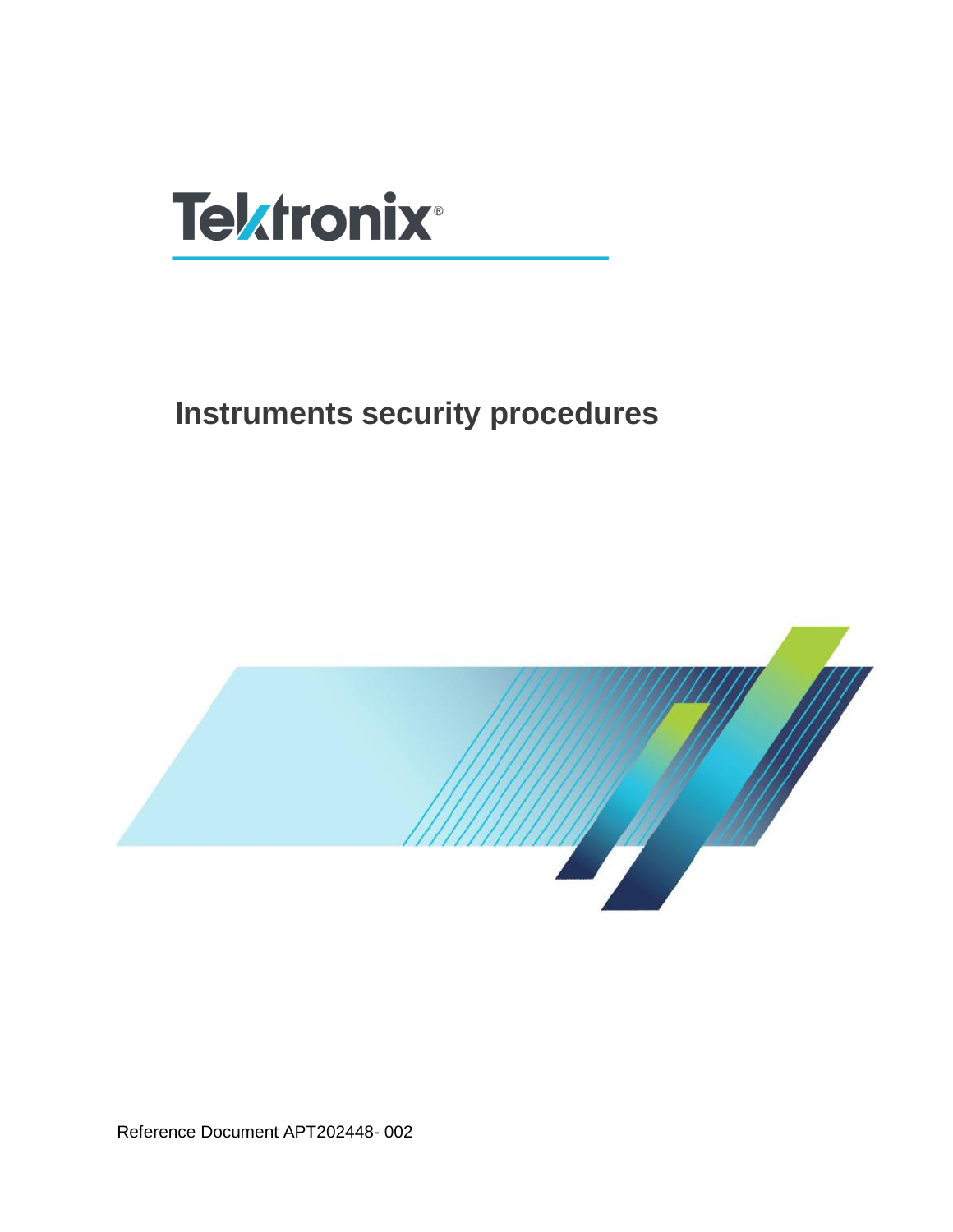

# **Instruments security procedures**



Reference Document APT202448- 002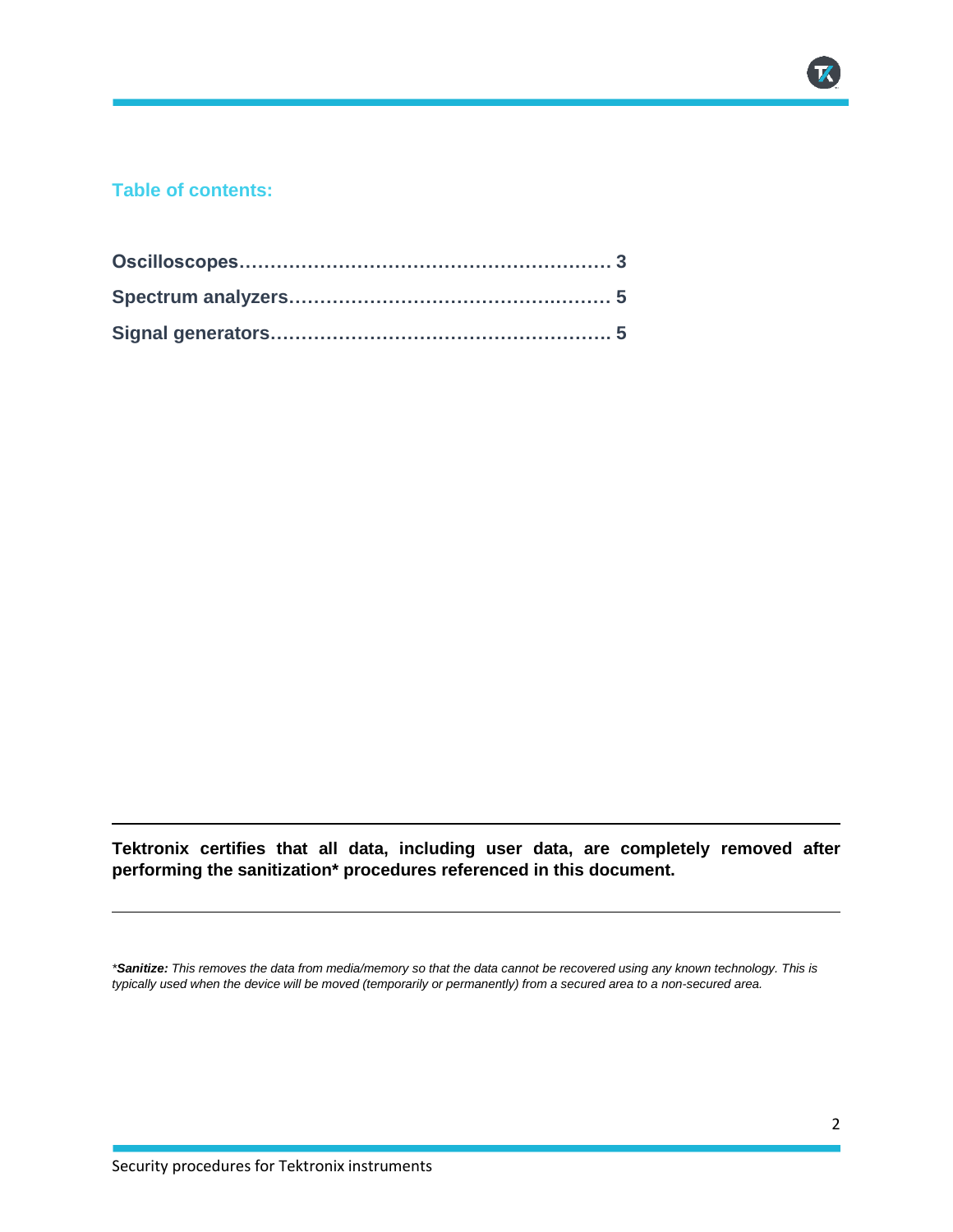#### **Table of contents:**

**Tektronix certifies that all data, including user data, are completely removed after performing the sanitization\* procedures referenced in this document.**

*\*Sanitize: This removes the data from media/memory so that the data cannot be recovered using any known technology. This is typically used when the device will be moved (temporarily or permanently) from a secured area to a non-secured area.*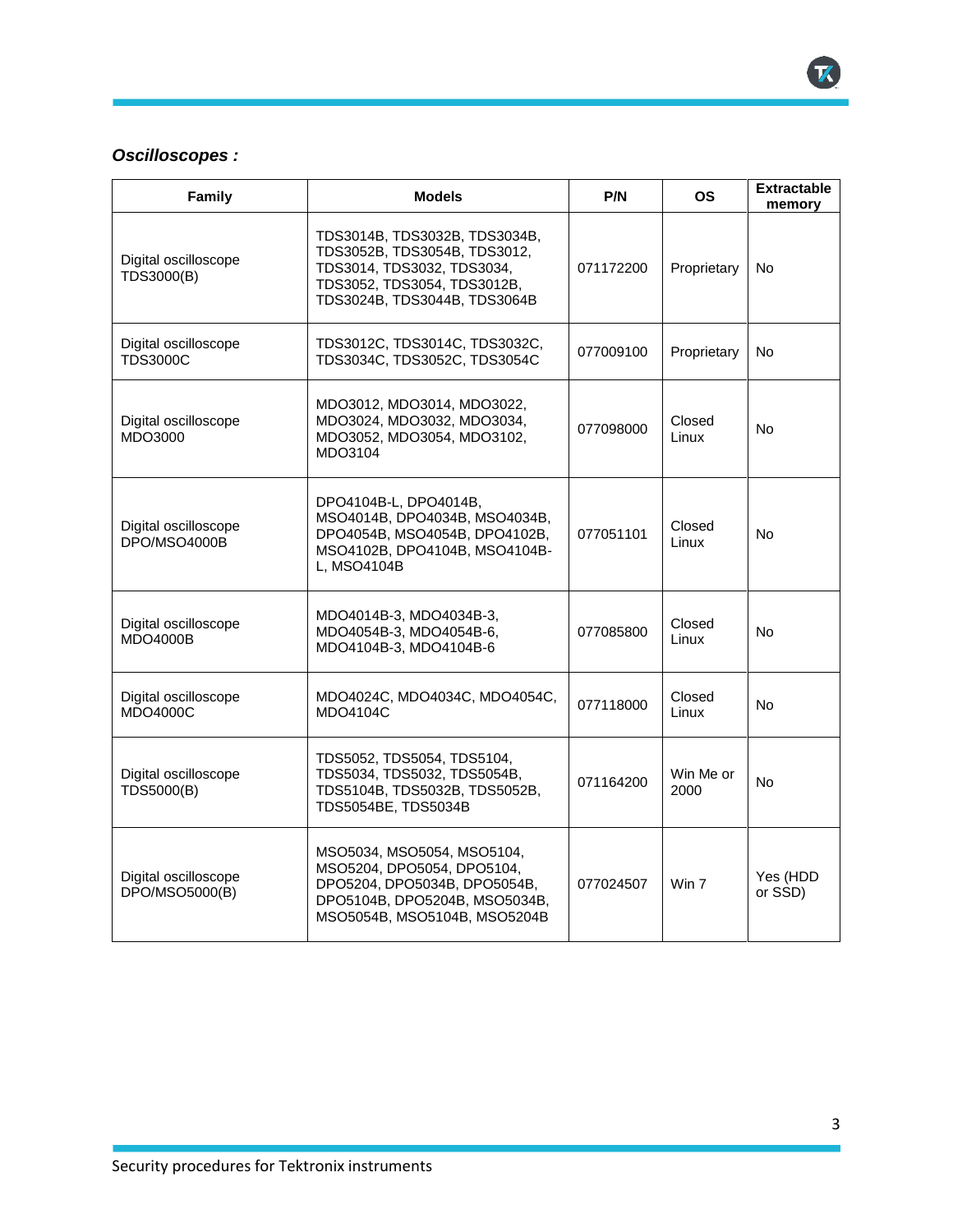### *Oscilloscopes :*

| Family                                  | <b>Models</b>                                                                                                                                              | P/N       | <b>OS</b>         | <b>Extractable</b><br>memory |
|-----------------------------------------|------------------------------------------------------------------------------------------------------------------------------------------------------------|-----------|-------------------|------------------------------|
| Digital oscilloscope<br>TDS3000(B)      | TDS3014B, TDS3032B, TDS3034B,<br>TDS3052B, TDS3054B, TDS3012,<br>TDS3014, TDS3032, TDS3034,<br>TDS3052, TDS3054, TDS3012B,<br>TDS3024B, TDS3044B, TDS3064B | 071172200 | Proprietary       | No.                          |
| Digital oscilloscope<br><b>TDS3000C</b> | TDS3012C, TDS3014C, TDS3032C,<br>TDS3034C, TDS3052C, TDS3054C                                                                                              | 077009100 | Proprietary       | No.                          |
| Digital oscilloscope<br>MDO3000         | MDO3012, MDO3014, MDO3022,<br>MDO3024, MDO3032, MDO3034,<br>MDO3052, MDO3054, MDO3102,<br>MDO3104                                                          | 077098000 | Closed<br>Linux   | No.                          |
| Digital oscilloscope<br>DPO/MSO4000B    | DPO4104B-L, DPO4014B,<br>MSO4014B, DPO4034B, MSO4034B,<br>DPO4054B, MSO4054B, DPO4102B,<br>MSO4102B, DPO4104B, MSO4104B-<br>L, MSO4104B                    | 077051101 | Closed<br>Linux   | No.                          |
| Digital oscilloscope<br><b>MDO4000B</b> | MDO4014B-3, MDO4034B-3,<br>MDO4054B-3, MDO4054B-6,<br>MDO4104B-3, MDO4104B-6                                                                               | 077085800 | Closed<br>Linux   | <b>No</b>                    |
| Digital oscilloscope<br><b>MDO4000C</b> | MDO4024C, MDO4034C, MDO4054C,<br>MDO4104C                                                                                                                  | 077118000 | Closed<br>Linux   | No.                          |
| Digital oscilloscope<br>TDS5000(B)      | TDS5052, TDS5054, TDS5104,<br>TDS5034, TDS5032, TDS5054B,<br>TDS5104B, TDS5032B, TDS5052B,<br>TDS5054BE, TDS5034B                                          | 071164200 | Win Me or<br>2000 | No.                          |
| Digital oscilloscope<br>DPO/MSO5000(B)  | MSO5034, MSO5054, MSO5104,<br>MSO5204, DPO5054, DPO5104,<br>DPO5204, DPO5034B, DPO5054B,<br>DPO5104B, DPO5204B, MSO5034B,<br>MSO5054B, MSO5104B, MSO5204B  | 077024507 | Win 7             | Yes (HDD<br>or SSD)          |

K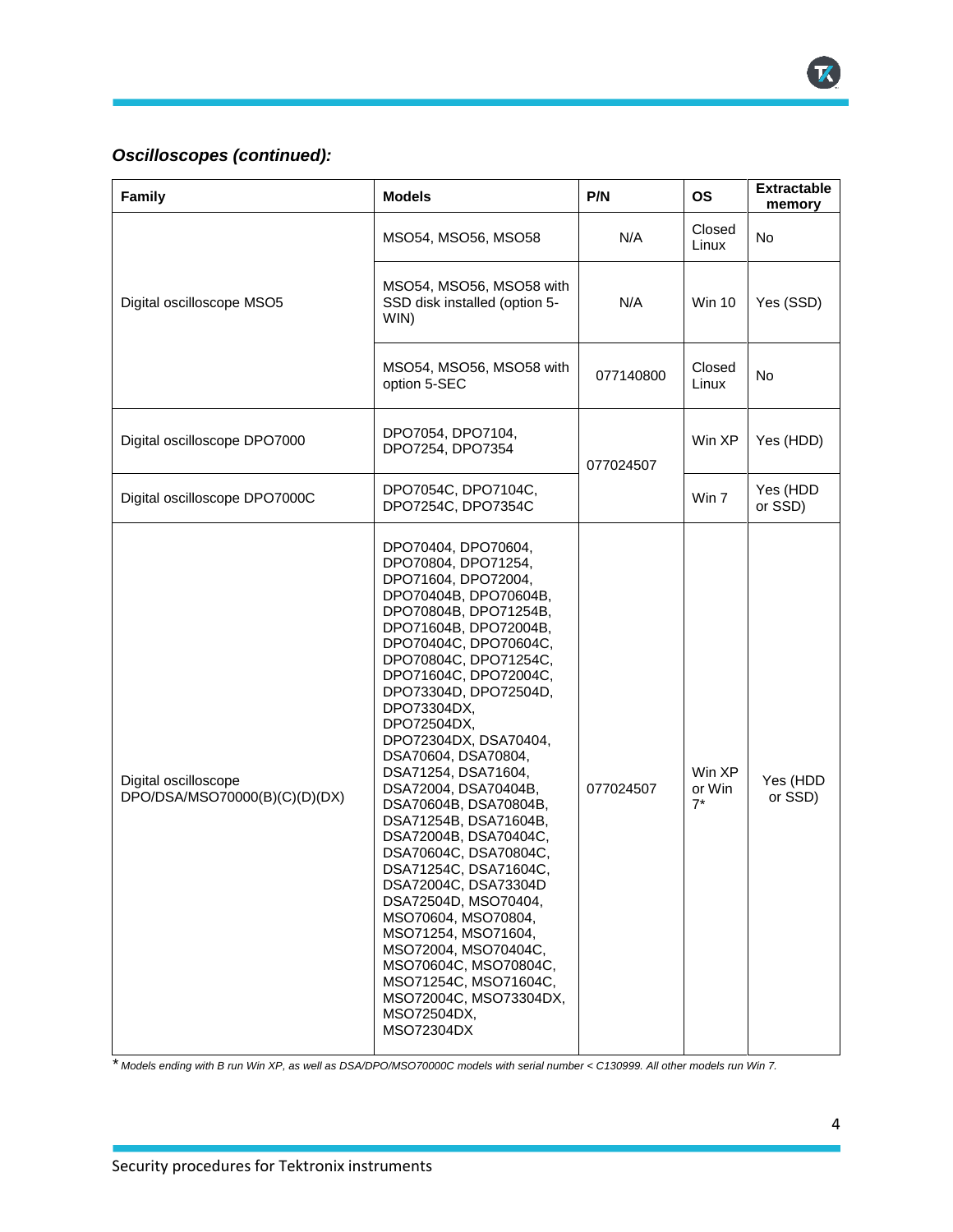### *Oscilloscopes (continued):*

| Family                                                | <b>Models</b>                                                                                                                                                                                                                                                                                                                                                                                                                                                                                                                                                                                                                                                                                                                             | P/N       | <b>OS</b>                 | <b>Extractable</b><br>memory |
|-------------------------------------------------------|-------------------------------------------------------------------------------------------------------------------------------------------------------------------------------------------------------------------------------------------------------------------------------------------------------------------------------------------------------------------------------------------------------------------------------------------------------------------------------------------------------------------------------------------------------------------------------------------------------------------------------------------------------------------------------------------------------------------------------------------|-----------|---------------------------|------------------------------|
| Digital oscilloscope MSO5                             | MSO54, MSO56, MSO58                                                                                                                                                                                                                                                                                                                                                                                                                                                                                                                                                                                                                                                                                                                       | N/A       | Closed<br>Linux           | No                           |
|                                                       | MSO54, MSO56, MSO58 with<br>SSD disk installed (option 5-<br>WIN)                                                                                                                                                                                                                                                                                                                                                                                                                                                                                                                                                                                                                                                                         | N/A       | <b>Win 10</b>             | Yes (SSD)                    |
|                                                       | MSO54, MSO56, MSO58 with<br>option 5-SEC                                                                                                                                                                                                                                                                                                                                                                                                                                                                                                                                                                                                                                                                                                  | 077140800 | Closed<br>Linux           | <b>No</b>                    |
| Digital oscilloscope DPO7000                          | DPO7054, DPO7104,<br>DPO7254, DPO7354                                                                                                                                                                                                                                                                                                                                                                                                                                                                                                                                                                                                                                                                                                     | 077024507 | Win XP                    | Yes (HDD)                    |
| Digital oscilloscope DPO7000C                         | DPO7054C, DPO7104C,<br>DPO7254C, DPO7354C                                                                                                                                                                                                                                                                                                                                                                                                                                                                                                                                                                                                                                                                                                 |           | Win 7                     | Yes (HDD<br>or SSD)          |
| Digital oscilloscope<br>DPO/DSA/MSO70000(B)(C)(D)(DX) | DPO70404, DPO70604,<br>DPO70804, DPO71254,<br>DPO71604, DPO72004,<br>DPO70404B, DPO70604B,<br>DPO70804B, DPO71254B,<br>DPO71604B, DPO72004B,<br>DPO70404C, DPO70604C,<br>DPO70804C, DPO71254C,<br>DPO71604C, DPO72004C,<br>DPO73304D, DPO72504D,<br>DPO73304DX,<br>DPO72504DX,<br>DPO72304DX, DSA70404,<br>DSA70604, DSA70804,<br>DSA71254, DSA71604,<br>DSA72004, DSA70404B,<br>DSA70604B, DSA70804B,<br>DSA71254B, DSA71604B,<br>DSA72004B, DSA70404C,<br>DSA70604C, DSA70804C,<br>DSA71254C, DSA71604C,<br>DSA72004C, DSA73304D<br>DSA72504D, MSO70404,<br>MSO70604, MSO70804,<br>MSO71254, MSO71604,<br>MSO72004, MSO70404C,<br>MSO70604C, MSO70804C,<br>MSO71254C, MSO71604C,<br>MSO72004C, MSO73304DX,<br>MSO72504DX,<br>MSO72304DX | 077024507 | Win XP<br>or Win<br>$7^*$ | Yes (HDD<br>or SSD)          |

*\* Models ending with B run Win XP, as well as DSA/DPO/MSO70000C models with serial number < C130999. All other models run Win 7.*

K